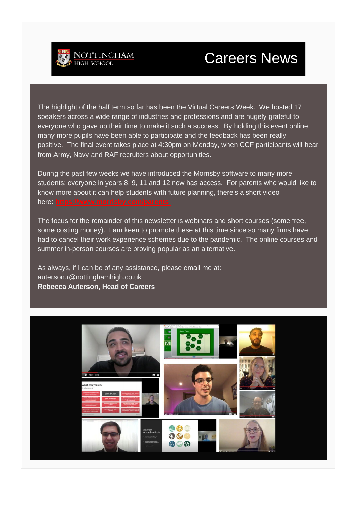

# **Careers News**

The highlight of the half term so far has been the Virtual Careers Week. We hosted 17 speakers across a wide range of industries and professions and are hugely grateful to everyone who gave up their time to make it such a success. By holding this event online, many more pupils have been able to participate and the feedback has been really positive. The final event takes place at 4:30pm on Monday, when CCF participants will hear from Army, Navy and RAF recruiters about opportunities.

During the past few weeks we have introduced the Morrisby software to many more students; everyone in years 8, 9, 11 and 12 now has access. For parents who would like to know more about it can help students with future planning, there's a short video here: **https://www.m** 

The focus for the remainder of this newsletter is webinars and short courses (some free, some costing money). I am keen to promote these at this time since so many firms have had to cancel their work experience schemes due to the pandemic. The online courses and summer in-person courses are proving popular as an alternative.

As always, if I can be of any assistance, please email me at: auterson.r@nottinghamhigh.co.uk **Rebecca Auterson, Head of Careers**

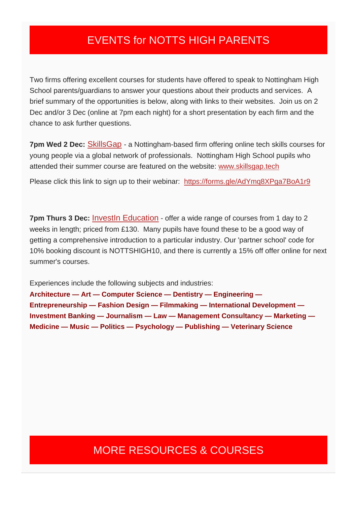### EVENTS for NOTTS HIGH PARENTS

Two firms offering excellent courses for students have offered to speak to Nottingham High School parents/guardians to answer your questions about their products and services. A brief summary of the opportunities is below, along with links to their websites. Join us on 2 Dec and/or 3 Dec (online at 7pm each night) for a short presentation by each firm and the chance to ask further questions.

**7pm Wed 2 Dec:** [SkillsGap](http://www.skillsgap.tech/) - a Nottingham-based firm offering online tech skills courses for young people via a global network of professionals. Nottingham High School pupils who attended their summer course are featured on the website: [www.skillsgap.tech](http://www.skillsgap.tech/)

Please click this link to sign up to their webinar: https://forms.gle/AdYmg8XPga7BoA1r9

**7pm Thurs 3 Dec: Investin Education - offer a wide range of courses from 1 day to 2** weeks in length; priced from £130. Many pupils have found these to be a good way of getting a comprehensive introduction to a particular industry. Our 'partner school' code for 10% booking discount is NOTTSHIGH10, and there is currently a 15% off offer online for next summer's courses.

Experiences include the following subjects and industries:

**Architecture — Art — Computer Science — Dentistry — Engineering — Entrepreneurship — Fashion Design — Filmmaking — International Development — Investment Banking — Journalism — Law — Management Consultancy — Marketing — Medicine — Music — Politics — Psychology — Publishing — Veterinary Science**

### MORE RESOURCES & COURSES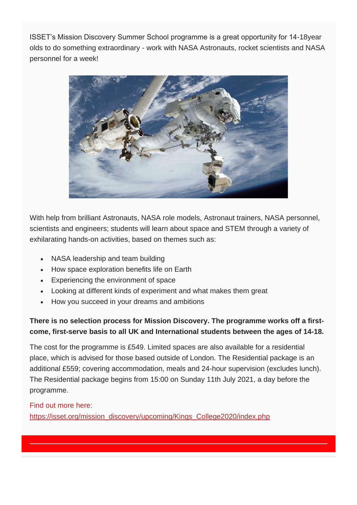ISSET's Mission Discovery Summer School programme is a great opportunity for 14-18year olds to do something extraordinary - work with NASA Astronauts, rocket scientists and NASA personnel for a week!



With help from brilliant Astronauts, NASA role models, Astronaut trainers, NASA personnel, scientists and engineers; students will learn about space and STEM through a variety of exhilarating hands-on activities, based on themes such as:

- NASA leadership and team building
- How space exploration benefits life on Earth
- Experiencing the environment of space
- Looking at different kinds of experiment and what makes them great
- How you succeed in your dreams and ambitions

#### **There is no selection process for Mission Discovery. The programme works off a firstcome, first-serve basis to all UK and International students between the ages of 14-18.**

The cost for the programme is £549. Limited spaces are also available for a residential place, which is advised for those based outside of London. The Residential package is an additional £559; covering accommodation, meals and 24-hour supervision (excludes lunch). The Residential package begins from 15:00 on Sunday 11th July 2021, a day before the programme.

#### Find out more here:

[https://isset.org/mission\\_discovery/upcoming/Kings\\_College2020/index.php](https://isset.org/mission_discovery/upcoming/Kings_College2020/index.php)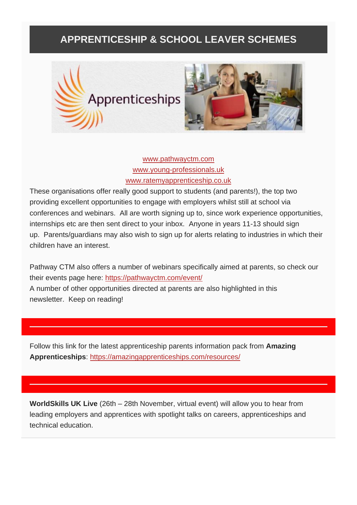### **APPRENTICESHIP & SCHOOL LEAVER SCHEMES**





[www.pathwayctm.com](http://www.pathwayctm.com/) [www.young-professionals.uk](http://www.young-professionals.uk/) [www.ratemyapprenticeship.co.uk](http://www.ratemyapprenticeship.co.uk/)

These organisations offer really good support to students (and parents!), the top two providing excellent opportunities to engage with employers whilst still at school via conferences and webinars. All are worth signing up to, since work experience opportunities, internships etc are then sent direct to your inbox. Anyone in years 11-13 should sign up. Parents/guardians may also wish to sign up for alerts relating to industries in which their children have an interest.

Pathway CTM also offers a number of webinars specifically aimed at parents, so check our their events page here: https://pathwayctm.com/event/ A number of other opportunities directed at parents are also highlighted in this newsletter. Keep on reading!

Follow this link for the latest apprenticeship parents information pack from **Amazing Apprenticeships**: <https://amazingapprenticeships.com/resources/>

**WorldSkills UK Live** (26th – 28th November, virtual event) will allow you to hear from leading employers and apprentices with spotlight talks on careers, apprenticeships and technical education.